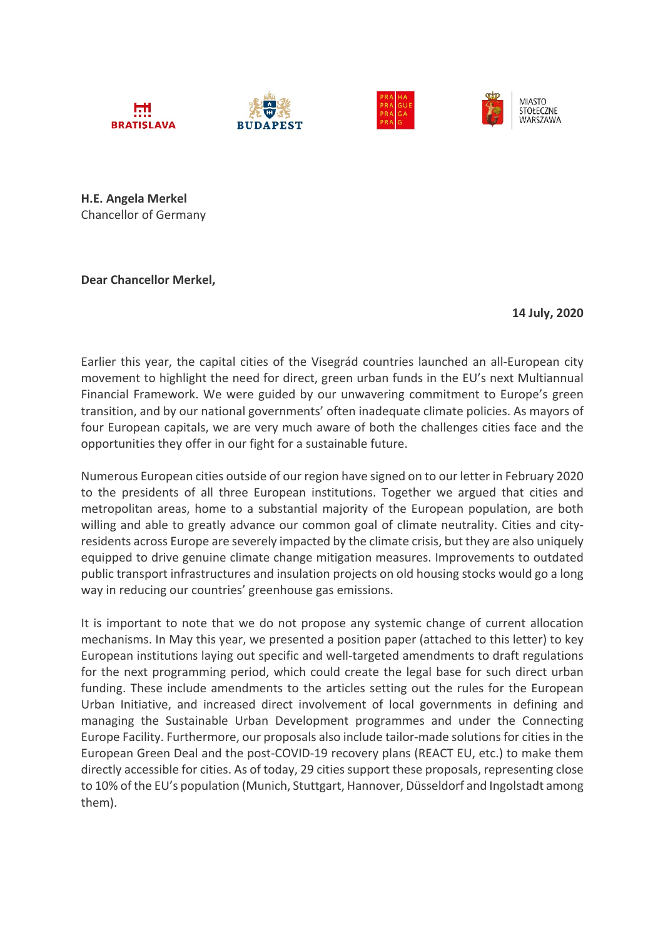







**H.E. Angela Merkel** Chancellor of Germany

**Dear Chancellor Merkel,**

**14 July, 2020**

Earlier this year, the capital cities of the Visegrád countries launched an all-European city movement to highlight the need for direct, green urban funds in the EU's next Multiannual Financial Framework. We were guided by our unwavering commitment to Europe's green transition, and by our national governments' often inadequate climate policies. As mayors of four European capitals, we are very much aware of both the challenges cities face and the opportunities they offer in our fight for a sustainable future.

Numerous European cities outside of our region have signed on to our letter in February 2020 to the presidents of all three European institutions. Together we argued that cities and metropolitan areas, home to a substantial majority of the European population, are both willing and able to greatly advance our common goal of climate neutrality. Cities and cityresidents across Europe are severely impacted by the climate crisis, but they are also uniquely equipped to drive genuine climate change mitigation measures. Improvements to outdated public transport infrastructures and insulation projects on old housing stocks would go a long way in reducing our countries' greenhouse gas emissions.

It is important to note that we do not propose any systemic change of current allocation mechanisms. In May this year, we presented a position paper (attached to this letter) to key European institutions laying out specific and well-targeted amendments to draft regulations for the next programming period, which could create the legal base for such direct urban funding. These include amendments to the articles setting out the rules for the European Urban Initiative, and increased direct involvement of local governments in defining and managing the Sustainable Urban Development programmes and under the Connecting Europe Facility. Furthermore, our proposals also include tailor-made solutions for cities in the European Green Deal and the post-COVID-19 recovery plans (REACT EU, etc.) to make them directly accessible for cities. As of today, 29 cities support these proposals, representing close to 10% of the EU's population (Munich, Stuttgart, Hannover, Düsseldorf and Ingolstadt among them).